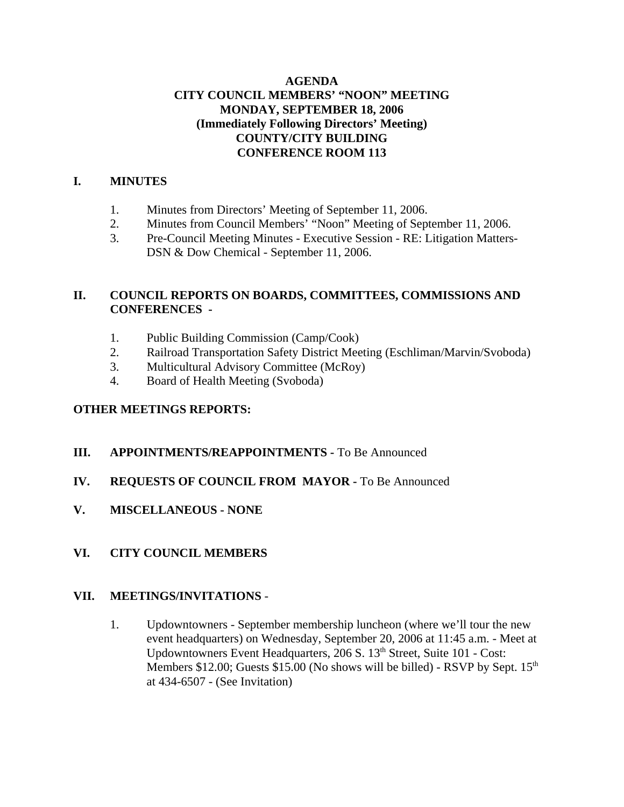# **AGENDA CITY COUNCIL MEMBERS' "NOON" MEETING MONDAY, SEPTEMBER 18, 2006 (Immediately Following Directors' Meeting) COUNTY/CITY BUILDING CONFERENCE ROOM 113**

# **I. MINUTES**

- 1. Minutes from Directors' Meeting of September 11, 2006.
- 2. Minutes from Council Members' "Noon" Meeting of September 11, 2006.
- 3. Pre-Council Meeting Minutes Executive Session RE: Litigation Matters-DSN & Dow Chemical - September 11, 2006.

# **II. COUNCIL REPORTS ON BOARDS, COMMITTEES, COMMISSIONS AND CONFERENCES -**

- 1. Public Building Commission (Camp/Cook)
- 2. Railroad Transportation Safety District Meeting (Eschliman/Marvin/Svoboda)
- 3. Multicultural Advisory Committee (McRoy)
- 4. Board of Health Meeting (Svoboda)

# **OTHER MEETINGS REPORTS:**

# **III.** APPOINTMENTS/REAPPOINTMENTS - To Be Announced

- **IV. REQUESTS OF COUNCIL FROM MAYOR -** To Be Announced
- **V. MISCELLANEOUS NONE**
- **VI. CITY COUNCIL MEMBERS**

# **VII. MEETINGS/INVITATIONS** -

1. Updowntowners - September membership luncheon (where we'll tour the new event headquarters) on Wednesday, September 20, 2006 at 11:45 a.m. - Meet at Updowntowners Event Headquarters, 206 S. 13<sup>th</sup> Street, Suite 101 - Cost: Members \$12.00; Guests \$15.00 (No shows will be billed) - RSVP by Sept.  $15<sup>th</sup>$ at 434-6507 - (See Invitation)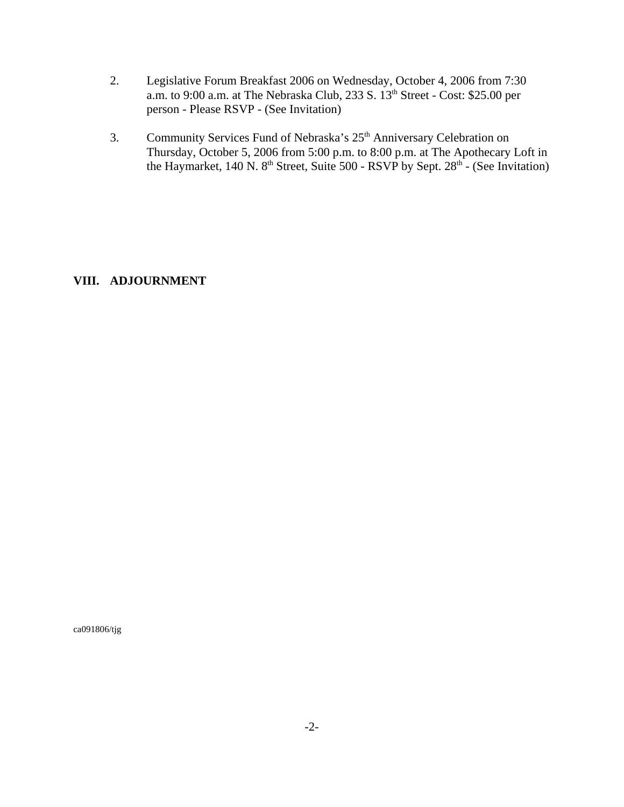- 2. Legislative Forum Breakfast 2006 on Wednesday, October 4, 2006 from 7:30 a.m. to 9:00 a.m. at The Nebraska Club, 233 S. 13th Street - Cost: \$25.00 per person - Please RSVP - (See Invitation)
- 3. Community Services Fund of Nebraska's 25<sup>th</sup> Anniversary Celebration on Thursday, October 5, 2006 from 5:00 p.m. to 8:00 p.m. at The Apothecary Loft in the Haymarket, 140 N.  $8<sup>th</sup>$  Street, Suite 500 - RSVP by Sept.  $28<sup>th</sup>$  - (See Invitation)

# **VIII. ADJOURNMENT**

ca091806/tjg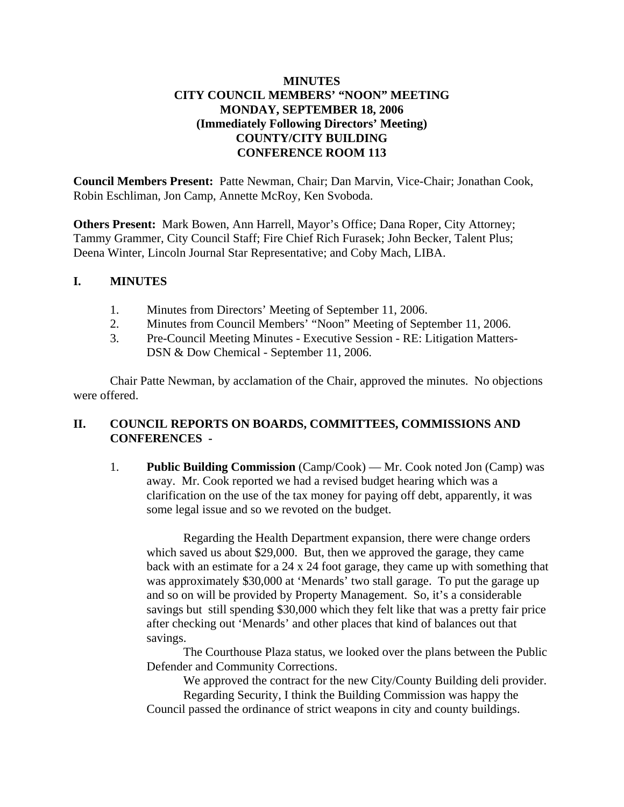# **MINUTES CITY COUNCIL MEMBERS' "NOON" MEETING MONDAY, SEPTEMBER 18, 2006 (Immediately Following Directors' Meeting) COUNTY/CITY BUILDING CONFERENCE ROOM 113**

**Council Members Present:** Patte Newman, Chair; Dan Marvin, Vice-Chair; Jonathan Cook, Robin Eschliman, Jon Camp, Annette McRoy, Ken Svoboda.

**Others Present:** Mark Bowen, Ann Harrell, Mayor's Office; Dana Roper, City Attorney; Tammy Grammer, City Council Staff; Fire Chief Rich Furasek; John Becker, Talent Plus; Deena Winter, Lincoln Journal Star Representative; and Coby Mach, LIBA.

## **I. MINUTES**

- 1. Minutes from Directors' Meeting of September 11, 2006.
- 2. Minutes from Council Members' "Noon" Meeting of September 11, 2006.
- 3. Pre-Council Meeting Minutes Executive Session RE: Litigation Matters-DSN & Dow Chemical - September 11, 2006.

Chair Patte Newman, by acclamation of the Chair, approved the minutes. No objections were offered.

# **II. COUNCIL REPORTS ON BOARDS, COMMITTEES, COMMISSIONS AND CONFERENCES -**

1. **Public Building Commission** (Camp/Cook) — Mr. Cook noted Jon (Camp) was away. Mr. Cook reported we had a revised budget hearing which was a clarification on the use of the tax money for paying off debt, apparently, it was some legal issue and so we revoted on the budget.

Regarding the Health Department expansion, there were change orders which saved us about \$29,000. But, then we approved the garage, they came back with an estimate for a 24 x 24 foot garage, they came up with something that was approximately \$30,000 at 'Menards' two stall garage. To put the garage up and so on will be provided by Property Management. So, it's a considerable savings but still spending \$30,000 which they felt like that was a pretty fair price after checking out 'Menards' and other places that kind of balances out that savings.

The Courthouse Plaza status, we looked over the plans between the Public Defender and Community Corrections.

We approved the contract for the new City/County Building deli provider.

Regarding Security, I think the Building Commission was happy the Council passed the ordinance of strict weapons in city and county buildings.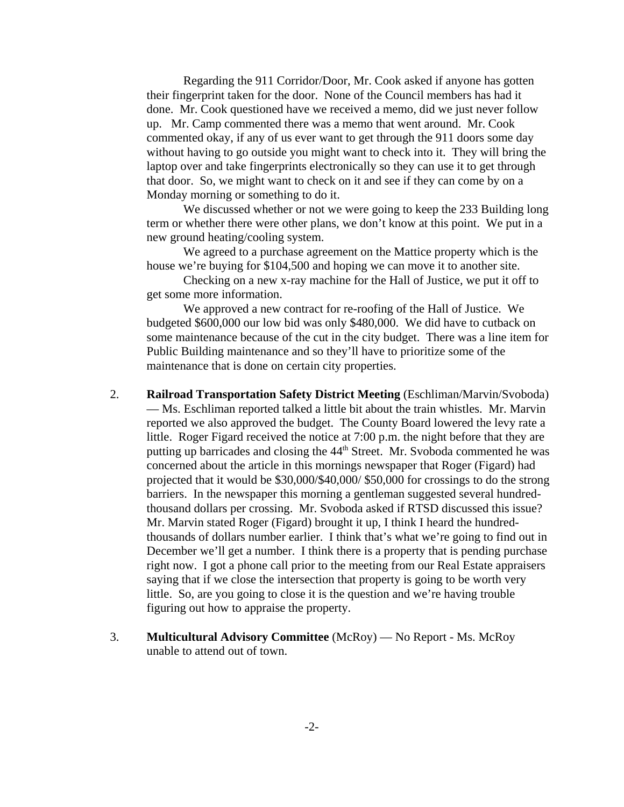Regarding the 911 Corridor/Door, Mr. Cook asked if anyone has gotten their fingerprint taken for the door. None of the Council members has had it done. Mr. Cook questioned have we received a memo, did we just never follow up. Mr. Camp commented there was a memo that went around. Mr. Cook commented okay, if any of us ever want to get through the 911 doors some day without having to go outside you might want to check into it. They will bring the laptop over and take fingerprints electronically so they can use it to get through that door. So, we might want to check on it and see if they can come by on a Monday morning or something to do it.

We discussed whether or not we were going to keep the 233 Building long term or whether there were other plans, we don't know at this point. We put in a new ground heating/cooling system.

We agreed to a purchase agreement on the Mattice property which is the house we're buying for \$104,500 and hoping we can move it to another site.

Checking on a new x-ray machine for the Hall of Justice, we put it off to get some more information.

We approved a new contract for re-roofing of the Hall of Justice. We budgeted \$600,000 our low bid was only \$480,000. We did have to cutback on some maintenance because of the cut in the city budget. There was a line item for Public Building maintenance and so they'll have to prioritize some of the maintenance that is done on certain city properties.

- 2. **Railroad Transportation Safety District Meeting** (Eschliman/Marvin/Svoboda) — Ms. Eschliman reported talked a little bit about the train whistles. Mr. Marvin reported we also approved the budget. The County Board lowered the levy rate a little. Roger Figard received the notice at 7:00 p.m. the night before that they are putting up barricades and closing the 44<sup>th</sup> Street. Mr. Svoboda commented he was concerned about the article in this mornings newspaper that Roger (Figard) had projected that it would be \$30,000/\$40,000/ \$50,000 for crossings to do the strong barriers. In the newspaper this morning a gentleman suggested several hundredthousand dollars per crossing. Mr. Svoboda asked if RTSD discussed this issue? Mr. Marvin stated Roger (Figard) brought it up, I think I heard the hundredthousands of dollars number earlier. I think that's what we're going to find out in December we'll get a number. I think there is a property that is pending purchase right now. I got a phone call prior to the meeting from our Real Estate appraisers saying that if we close the intersection that property is going to be worth very little. So, are you going to close it is the question and we're having trouble figuring out how to appraise the property.
- 3. **Multicultural Advisory Committee** (McRoy) No Report Ms. McRoy unable to attend out of town.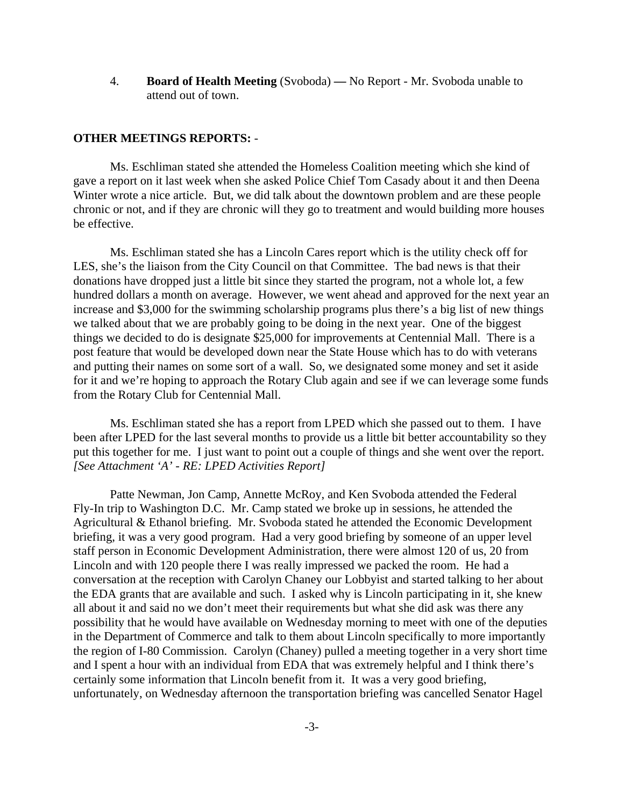4. **Board of Health Meeting** (Svoboda) **—** No Report - Mr. Svoboda unable to attend out of town.

### **OTHER MEETINGS REPORTS:** -

Ms. Eschliman stated she attended the Homeless Coalition meeting which she kind of gave a report on it last week when she asked Police Chief Tom Casady about it and then Deena Winter wrote a nice article. But, we did talk about the downtown problem and are these people chronic or not, and if they are chronic will they go to treatment and would building more houses be effective.

Ms. Eschliman stated she has a Lincoln Cares report which is the utility check off for LES, she's the liaison from the City Council on that Committee. The bad news is that their donations have dropped just a little bit since they started the program, not a whole lot, a few hundred dollars a month on average. However, we went ahead and approved for the next year an increase and \$3,000 for the swimming scholarship programs plus there's a big list of new things we talked about that we are probably going to be doing in the next year. One of the biggest things we decided to do is designate \$25,000 for improvements at Centennial Mall. There is a post feature that would be developed down near the State House which has to do with veterans and putting their names on some sort of a wall. So, we designated some money and set it aside for it and we're hoping to approach the Rotary Club again and see if we can leverage some funds from the Rotary Club for Centennial Mall.

Ms. Eschliman stated she has a report from LPED which she passed out to them. I have been after LPED for the last several months to provide us a little bit better accountability so they put this together for me. I just want to point out a couple of things and she went over the report. *[See Attachment 'A' - RE: LPED Activities Report]* 

Patte Newman, Jon Camp, Annette McRoy, and Ken Svoboda attended the Federal Fly-In trip to Washington D.C. Mr. Camp stated we broke up in sessions, he attended the Agricultural & Ethanol briefing. Mr. Svoboda stated he attended the Economic Development briefing, it was a very good program. Had a very good briefing by someone of an upper level staff person in Economic Development Administration, there were almost 120 of us, 20 from Lincoln and with 120 people there I was really impressed we packed the room. He had a conversation at the reception with Carolyn Chaney our Lobbyist and started talking to her about the EDA grants that are available and such. I asked why is Lincoln participating in it, she knew all about it and said no we don't meet their requirements but what she did ask was there any possibility that he would have available on Wednesday morning to meet with one of the deputies in the Department of Commerce and talk to them about Lincoln specifically to more importantly the region of I-80 Commission. Carolyn (Chaney) pulled a meeting together in a very short time and I spent a hour with an individual from EDA that was extremely helpful and I think there's certainly some information that Lincoln benefit from it. It was a very good briefing, unfortunately, on Wednesday afternoon the transportation briefing was cancelled Senator Hagel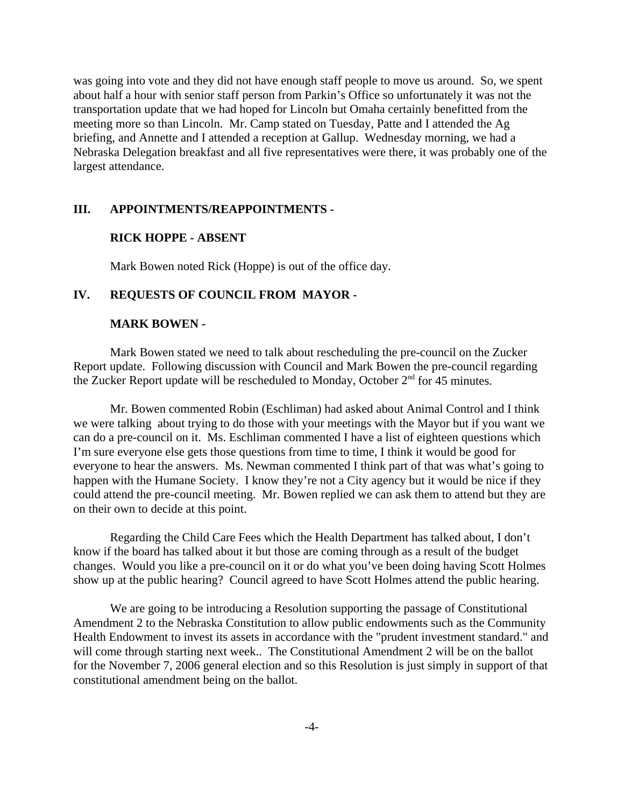was going into vote and they did not have enough staff people to move us around. So, we spent about half a hour with senior staff person from Parkin's Office so unfortunately it was not the transportation update that we had hoped for Lincoln but Omaha certainly benefitted from the meeting more so than Lincoln. Mr. Camp stated on Tuesday, Patte and I attended the Ag briefing, and Annette and I attended a reception at Gallup. Wednesday morning, we had a Nebraska Delegation breakfast and all five representatives were there, it was probably one of the largest attendance.

## **III. APPOINTMENTS/REAPPOINTMENTS -**

#### **RICK HOPPE - ABSENT**

Mark Bowen noted Rick (Hoppe) is out of the office day.

#### **IV. REQUESTS OF COUNCIL FROM MAYOR -**

#### **MARK BOWEN -**

Mark Bowen stated we need to talk about rescheduling the pre-council on the Zucker Report update. Following discussion with Council and Mark Bowen the pre-council regarding the Zucker Report update will be rescheduled to Monday, October  $2<sup>nd</sup>$  for 45 minutes.

Mr. Bowen commented Robin (Eschliman) had asked about Animal Control and I think we were talking about trying to do those with your meetings with the Mayor but if you want we can do a pre-council on it. Ms. Eschliman commented I have a list of eighteen questions which I'm sure everyone else gets those questions from time to time, I think it would be good for everyone to hear the answers. Ms. Newman commented I think part of that was what's going to happen with the Humane Society. I know they're not a City agency but it would be nice if they could attend the pre-council meeting. Mr. Bowen replied we can ask them to attend but they are on their own to decide at this point.

Regarding the Child Care Fees which the Health Department has talked about, I don't know if the board has talked about it but those are coming through as a result of the budget changes. Would you like a pre-council on it or do what you've been doing having Scott Holmes show up at the public hearing? Council agreed to have Scott Holmes attend the public hearing.

We are going to be introducing a Resolution supporting the passage of Constitutional Amendment 2 to the Nebraska Constitution to allow public endowments such as the Community Health Endowment to invest its assets in accordance with the "prudent investment standard." and will come through starting next week.. The Constitutional Amendment 2 will be on the ballot for the November 7, 2006 general election and so this Resolution is just simply in support of that constitutional amendment being on the ballot.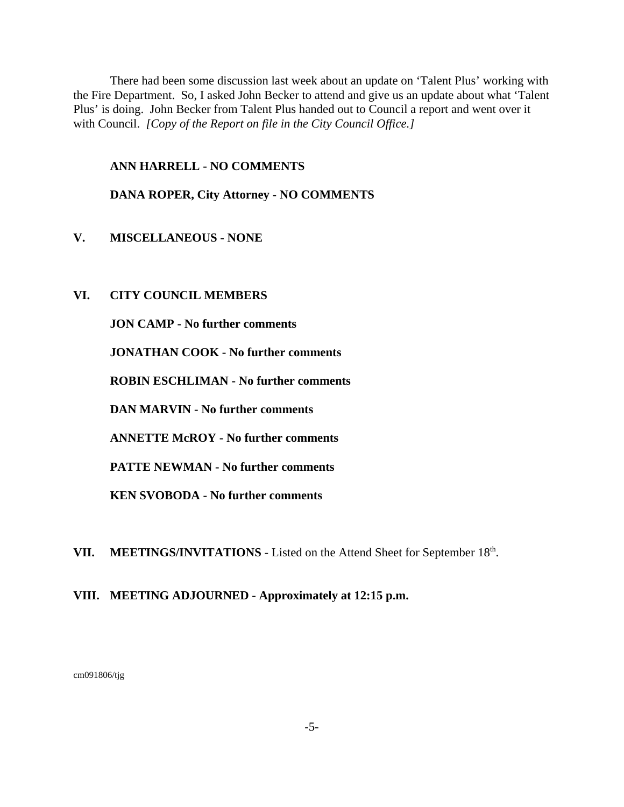There had been some discussion last week about an update on 'Talent Plus' working with the Fire Department. So, I asked John Becker to attend and give us an update about what 'Talent Plus' is doing. John Becker from Talent Plus handed out to Council a report and went over it with Council. *[Copy of the Report on file in the City Council Office.]* 

## **ANN HARRELL - NO COMMENTS**

## **DANA ROPER, City Attorney - NO COMMENTS**

- **V. MISCELLANEOUS NONE**
- **VI. CITY COUNCIL MEMBERS**

**JON CAMP - No further comments**

**JONATHAN COOK - No further comments**

**ROBIN ESCHLIMAN - No further comments**

**DAN MARVIN - No further comments** 

**ANNETTE McROY - No further comments**

**PATTE NEWMAN - No further comments** 

**KEN SVOBODA - No further comments** 

VII. MEETINGS/INVITATIONS - Listed on the Attend Sheet for September 18<sup>th</sup>.

## **VIII. MEETING ADJOURNED - Approximately at 12:15 p.m.**

cm091806/tjg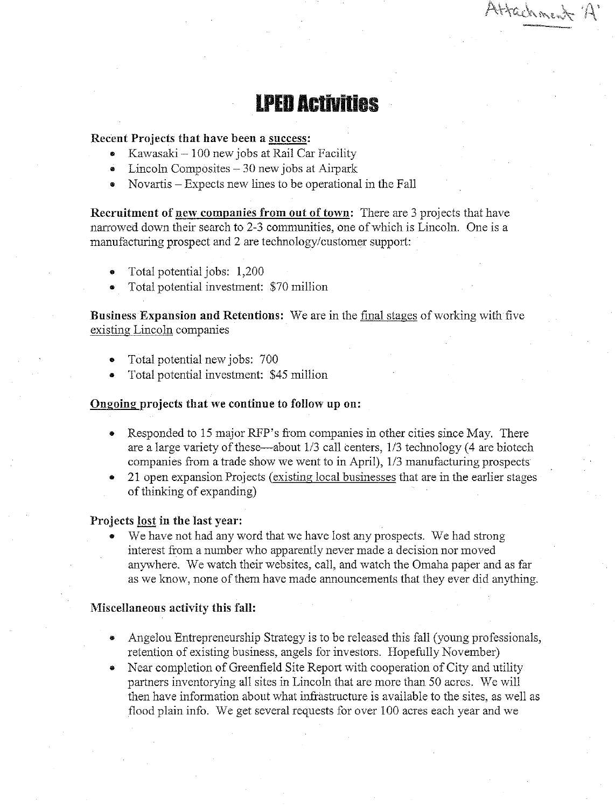Attachment 1-

# **IPED Activities**

## Recent Projects that have been a success:

- Kawasaki 100 new jobs at Rail Car Facility  $\bullet$
- Lincoln Composites  $-30$  new jobs at Airpark  $\bullet$
- Novartis Expects new lines to be operational in the Fall

**Recruitment of new companies from out of town:** There are 3 projects that have narrowed down their search to 2-3 communities, one of which is Lincoln. One is a manufacturing prospect and 2 are technology/customer support:

- Total potential jobs: 1,200
- Total potential investment: \$70 million

Business Expansion and Retentions: We are in the final stages of working with five existing Lincoln companies

- Total potential new jobs: 700  $\bullet$
- Total potential investment: \$45 million

#### Ongoing projects that we continue to follow up on:

- Responded to 15 major RFP's from companies in other cities since May. There  $\bullet$ are a large variety of these—about 1/3 call centers, 1/3 technology (4 are biotech companies from a trade show we went to in April), 1/3 manufacturing prospects
- 21 open expansion Projects (existing local businesses that are in the earlier stages of thinking of expanding)

#### Projects lost in the last year:

We have not had any word that we have lost any prospects. We had strong  $\bullet$ interest from a number who apparently never made a decision nor moved anywhere. We watch their websites, call, and watch the Omaha paper and as far as we know, none of them have made announcements that they ever did anything.

#### Miscellaneous activity this fall:

- Angelou Entrepreneurship Strategy is to be released this fall (young professionals, retention of existing business, angels for investors. Hopefully November)
- Near completion of Greenfield Site Report with cooperation of City and utility partners inventorying all sites in Lincoln that are more than 50 acres. We will then have information about what infrastructure is available to the sites, as well as flood plain info. We get several requests for over 100 acres each year and we